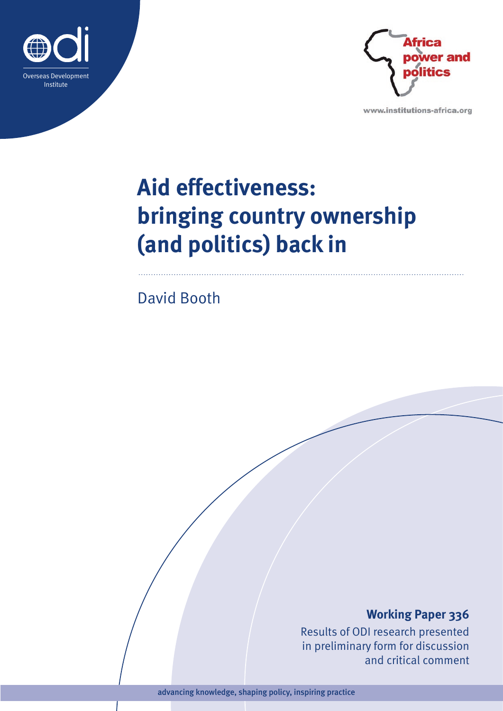



www.institutions-africa.org

# **Aid effectiveness: bringing country ownership (and politics) back in**

David Booth

**Working Paper 336**

Results of ODI research presented in preliminary form for discussion and critical comment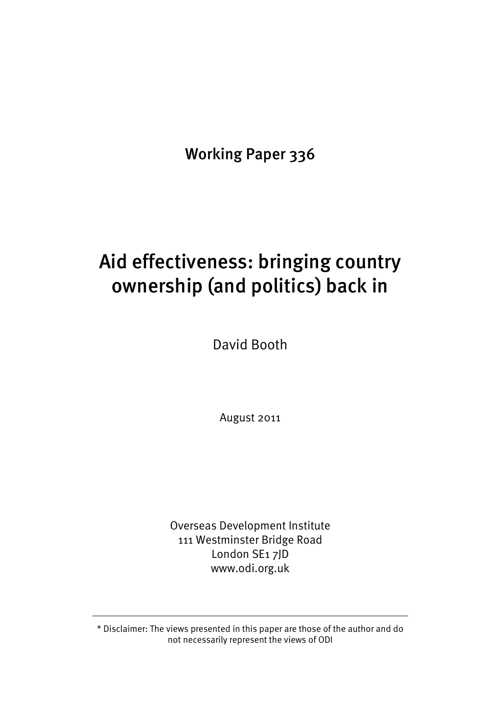Working Paper 336

## Aid effectiveness: bringing country ownership (and politics) back in

David Booth

August 2011

Overseas Development Institute 111 Westminster Bridge Road London SE1 7JD www.odi.org.uk

\* Disclaimer: The views presented in this paper are those of the author and do not necessarily represent the views of ODI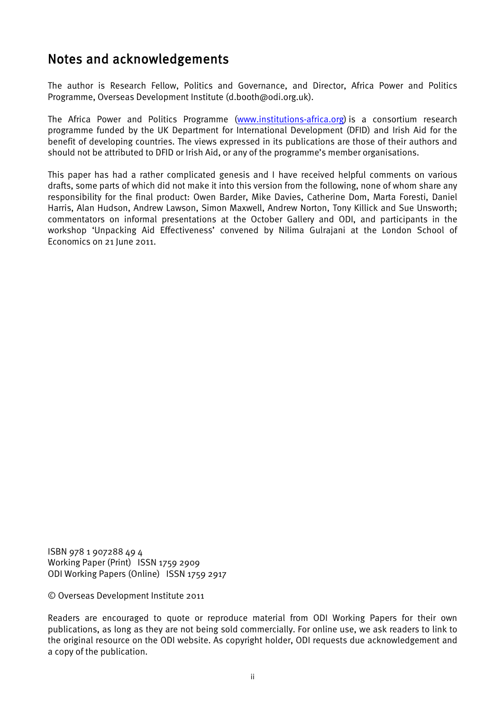## <span id="page-2-0"></span>Notes and acknowledgements

The author is Research Fellow, Politics and Governance, and Director, Africa Power and Politics Programme, Overseas Development Institute [\(d.booth@odi.org.uk\)](mailto:d.booth@odi.org.uk).

The Africa Power and Politics Programme [\(www.institutions-africa.org\)](http://www.institutions-africa.org/) is a consortium research programme funded by the UK Department for International Development (DFID) and Irish Aid for the benefit of developing countries. The views expressed in its publications are those of their authors and should not be attributed to DFID or Irish Aid, or any of the programme's member organisations.

This paper has had a rather complicated genesis and I have received helpful comments on various drafts, some parts of which did not make it into this version from the following, none of whom share any responsibility for the final product: Owen Barder, Mike Davies, Catherine Dom, Marta Foresti, Daniel Harris, Alan Hudson, Andrew Lawson, Simon Maxwell, Andrew Norton, Tony Killick and Sue Unsworth; commentators on informal presentations at the October Gallery and ODI, and participants in the workshop 'Unpacking Aid Effectiveness' convened by Nilima Gulrajani at the London School of Economics on 21 June 2011.

ISBN 978 1 907288 49 4 Working Paper (Print) ISSN 1759 2909 ODI Working Papers (Online) ISSN 1759 2917

© Overseas Development Institute 2011

Readers are encouraged to quote or reproduce material from ODI Working Papers for their own publications, as long as they are not being sold commercially. For online use, we ask readers to link to the original resource on the ODI website. As copyright holder, ODI requests due acknowledgement and a copy of the publication.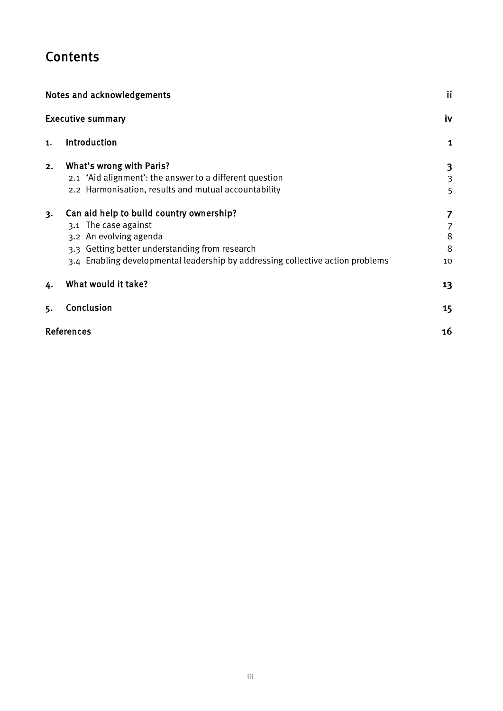## **Contents**

| Notes and acknowledgements |                                                                                                                                                                                                                                | ii                     |
|----------------------------|--------------------------------------------------------------------------------------------------------------------------------------------------------------------------------------------------------------------------------|------------------------|
| <b>Executive summary</b>   |                                                                                                                                                                                                                                | İV                     |
| 1.                         | Introduction                                                                                                                                                                                                                   | 1                      |
| 2.                         | What's wrong with Paris?<br>2.1 'Aid alignment': the answer to a different question<br>2.2 Harmonisation, results and mutual accountability                                                                                    | 3<br>3<br>5            |
| 3.                         | Can aid help to build country ownership?<br>3.1 The case against<br>3.2 An evolving agenda<br>3.3 Getting better understanding from research<br>3.4 Enabling developmental leadership by addressing collective action problems | 7<br>7<br>8<br>8<br>10 |
| 4.                         | What would it take?                                                                                                                                                                                                            | 13                     |
| 5.                         | Conclusion                                                                                                                                                                                                                     | 15                     |
| <b>References</b>          |                                                                                                                                                                                                                                | 16                     |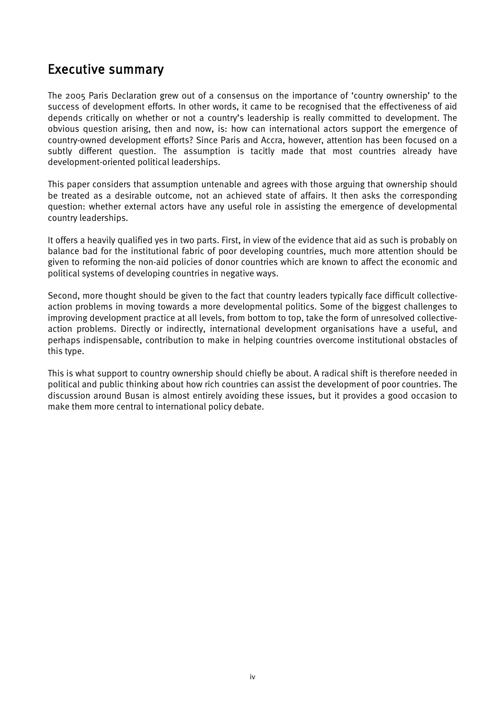## <span id="page-4-0"></span>Executive summary

The 2005 Paris Declaration grew out of a consensus on the importance of 'country ownership' to the success of development efforts. In other words, it came to be recognised that the effectiveness of aid depends critically on whether or not a country's leadership is really committed to development. The obvious question arising, then and now, is: how can international actors support the emergence of country-owned development efforts? Since Paris and Accra, however, attention has been focused on a subtly different question. The assumption is tacitly made that most countries already have development-oriented political leaderships.

This paper considers that assumption untenable and agrees with those arguing that ownership should be treated as a desirable outcome, not an achieved state of affairs. It then asks the corresponding question: whether external actors have any useful role in assisting the emergence of developmental country leaderships.

It offers a heavily qualified yes in two parts. First, in view of the evidence that aid as such is probably on balance bad for the institutional fabric of poor developing countries, much more attention should be given to reforming the non-aid policies of donor countries which are known to affect the economic and political systems of developing countries in negative ways.

Second, more thought should be given to the fact that country leaders typically face difficult collectiveaction problems in moving towards a more developmental politics. Some of the biggest challenges to improving development practice at all levels, from bottom to top, take the form of unresolved collectiveaction problems. Directly or indirectly, international development organisations have a useful, and perhaps indispensable, contribution to make in helping countries overcome institutional obstacles of this type.

This is what support to country ownership should chiefly be about. A radical shift is therefore needed in political and public thinking about how rich countries can assist the development of poor countries. The discussion around Busan is almost entirely avoiding these issues, but it provides a good occasion to make them more central to international policy debate.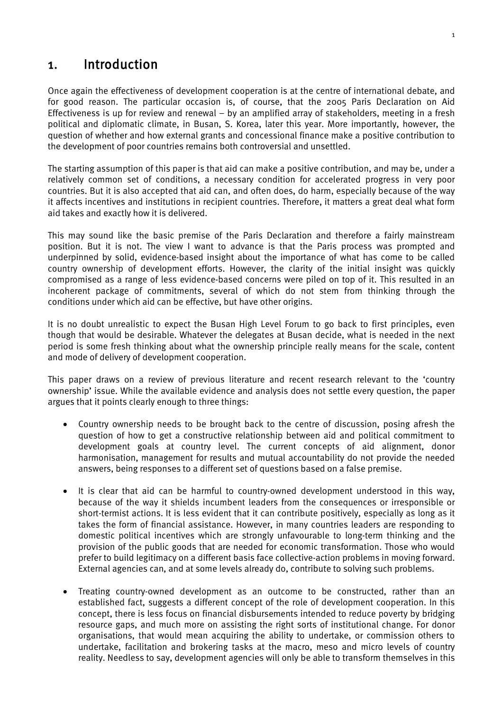#### <span id="page-5-0"></span>1. Introduction

Once again the effectiveness of development cooperation is at the centre of international debate, and for good reason. The particular occasion is, of course, that the 2005 Paris Declaration on Aid Effectiveness is up for review and renewal – by an amplified array of stakeholders, meeting in a fresh political and diplomatic climate, in Busan, S. Korea, later this year. More importantly, however, the question of whether and how external grants and concessional finance make a positive contribution to the development of poor countries remains both controversial and unsettled.

The starting assumption of this paper is that aid can make a positive contribution, and may be, under a relatively common set of conditions, a necessary condition for accelerated progress in very poor countries. But it is also accepted that aid can, and often does, do harm, especially because of the way it affects incentives and institutions in recipient countries. Therefore, it matters a great deal what form aid takes and exactly how it is delivered.

This may sound like the basic premise of the Paris Declaration and therefore a fairly mainstream position. But it is not. The view I want to advance is that the Paris process was prompted and underpinned by solid, evidence-based insight about the importance of what has come to be called country ownership of development efforts. However, the clarity of the initial insight was quickly compromised as a range of less evidence-based concerns were piled on top of it. This resulted in an incoherent package of commitments, several of which do not stem from thinking through the conditions under which aid can be effective, but have other origins.

It is no doubt unrealistic to expect the Busan High Level Forum to go back to first principles, even though that would be desirable. Whatever the delegates at Busan decide, what is needed in the next period is some fresh thinking about what the ownership principle really means for the scale, content and mode of delivery of development cooperation.

This paper draws on a review of previous literature and recent research relevant to the 'country ownership' issue. While the available evidence and analysis does not settle every question, the paper argues that it points clearly enough to three things:

- Country ownership needs to be brought back to the centre of discussion, posing afresh the question of how to get a constructive relationship between aid and political commitment to development goals at country level. The current concepts of aid alignment, donor harmonisation, management for results and mutual accountability do not provide the needed answers, being responses to a different set of questions based on a false premise.
- It is clear that aid can be harmful to country-owned development understood in this way, because of the way it shields incumbent leaders from the consequences or irresponsible or short-termist actions. It is less evident that it can contribute positively, especially as long as it takes the form of financial assistance. However, in many countries leaders are responding to domestic political incentives which are strongly unfavourable to long-term thinking and the provision of the public goods that are needed for economic transformation. Those who would prefer to build legitimacy on a different basis face collective-action problems in moving forward. External agencies can, and at some levels already do, contribute to solving such problems.
- Treating country-owned development as an outcome to be constructed, rather than an established fact, suggests a different concept of the role of development cooperation. In this concept, there is less focus on financial disbursements intended to reduce poverty by bridging resource gaps, and much more on assisting the right sorts of institutional change. For donor organisations, that would mean acquiring the ability to undertake, or commission others to undertake, facilitation and brokering tasks at the macro, meso and micro levels of country reality. Needless to say, development agencies will only be able to transform themselves in this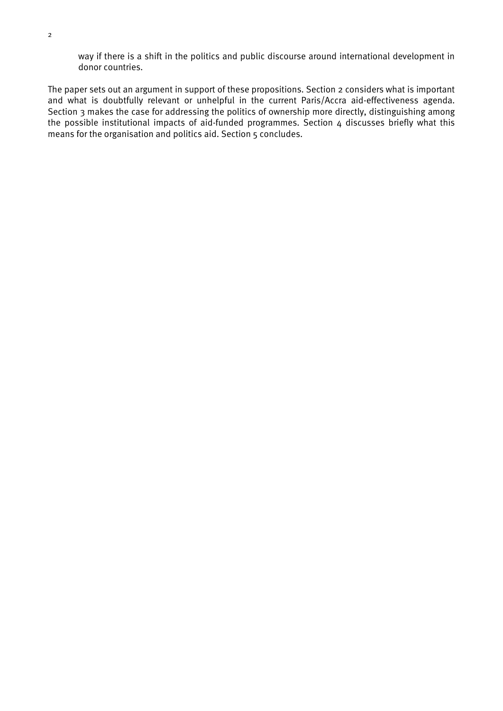way if there is a shift in the politics and public discourse around international development in donor countries.

The paper sets out an argument in support of these propositions. Section 2 considers what is important and what is doubtfully relevant or unhelpful in the current Paris/Accra aid-effectiveness agenda. Section 3 makes the case for addressing the politics of ownership more directly, distinguishing among the possible institutional impacts of aid-funded programmes. Section  $4$  discusses briefly what this means for the organisation and politics aid. Section 5 concludes.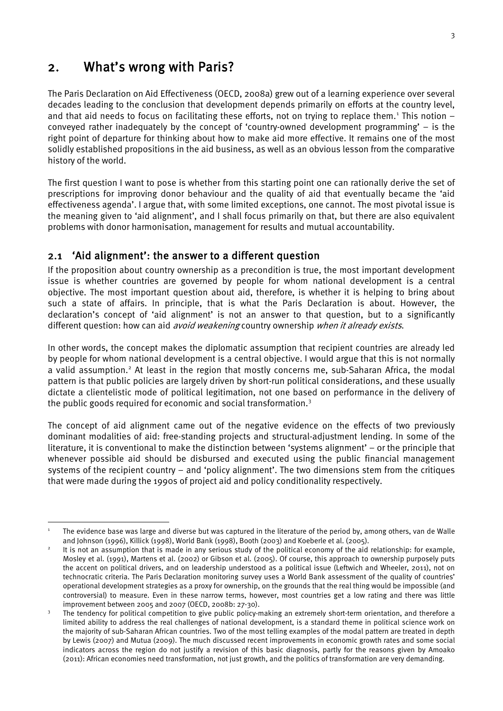## <span id="page-7-0"></span>2. What's wrong with Paris?

The Paris Declaration on Aid Effectiveness (OECD, 2008a) grew out of a learning experience over several decades leading to the conclusion that development depends primarily on efforts at the country level, and that aid needs to focus on facilitating these efforts, not on trying to replace them.<sup>[1](#page-7-2)</sup> This notion  $$ conveyed rather inadequately by the concept of 'country-owned development programming' – is the right point of departure for thinking about how to make aid more effective. It remains one of the most solidly established propositions in the aid business, as well as an obvious lesson from the comparative history of the world.

The first question I want to pose is whether from this starting point one can rationally derive the set of prescriptions for improving donor behaviour and the quality of aid that eventually became the 'aid effectiveness agenda'. I argue that, with some limited exceptions, one cannot. The most pivotal issue is the meaning given to 'aid alignment', and I shall focus primarily on that, but there are also equivalent problems with donor harmonisation, management for results and mutual accountability.

#### <span id="page-7-1"></span>2.1 'Aid alignment': the answer to a different question

If the proposition about country ownership as a precondition is true, the most important development issue is whether countries are governed by people for whom national development is a central objective. The most important question about aid, therefore, is whether it is helping to bring about such a state of affairs. In principle, that is what the Paris Declaration is about. However, the declaration's concept of 'aid alignment' is not an answer to that question, but to a significantly different question: how can aid *avoid weakening* country ownership when it already exists.

In other words, the concept makes the diplomatic assumption that recipient countries are already led by people for whom national development is a central objective. I would argue that this is not normally a valid assumption.<sup>[2](#page-7-3)</sup> At least in the region that mostly concerns me, sub-Saharan Africa, the modal pattern is that public policies are largely driven by short-run political considerations, and these usually dictate a clientelistic mode of political legitimation, not one based on performance in the delivery of the public goods required for economic and social transformation.[3](#page-7-4)

The concept of aid alignment came out of the negative evidence on the effects of two previously dominant modalities of aid: free-standing projects and structural-adjustment lending. In some of the literature, it is conventional to make the distinction between 'systems alignment' – or the principle that whenever possible aid should be disbursed and executed using the public financial management systems of the recipient country – and 'policy alignment'. The two dimensions stem from the critiques that were made during the 1990s of project aid and policy conditionality respectively.

<span id="page-7-2"></span>The evidence base was large and diverse but was captured in the literature of the period by, among others, van de Walle and Johnson (1996), Killick (1998), World Bank (1998), Booth (2003) and Koeberle et al. (2005).

<span id="page-7-3"></span><sup>2</sup> It is not an assumption that is made in any serious study of the political economy of the aid relationship: for example, Mosley et al. (1991), Martens et al. (2002) or Gibson et al. (2005). Of course, this approach to ownership purposely puts the accent on political drivers, and on leadership understood as a political issue (Leftwich and Wheeler, 2011), not on technocratic criteria. The Paris Declaration monitoring survey uses a World Bank assessment of the quality of countries' operational development strategies as a proxy for ownership, on the grounds that the real thing would be impossible (and controversial) to measure. Even in these narrow terms, however, most countries get a low rating and there was little

<span id="page-7-4"></span>improvement between 2005 and 2007 (OECD, 2008b: 27-30).<br>The tendency for political competition to give public policy-making an extremely short-term orientation, and therefore a limited ability to address the real challenges of national development, is a standard theme in political science work on the majority of sub-Saharan African countries. Two of the most telling examples of the modal pattern are treated in depth by Lewis (2007) and Mutua (2009). The much discussed recent improvements in economic growth rates and some social indicators across the region do not justify a revision of this basic diagnosis, partly for the reasons given by Amoako (2011): African economies need transformation, not just growth, and the politics of transformation are very demanding.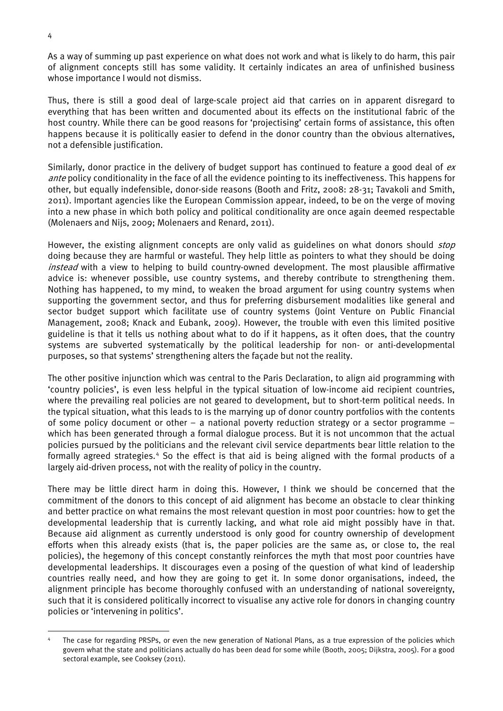As a way of summing up past experience on what does not work and what is likely to do harm, this pair of alignment concepts still has some validity. It certainly indicates an area of unfinished business whose importance I would not dismiss.

Thus, there is still a good deal of large-scale project aid that carries on in apparent disregard to everything that has been written and documented about its effects on the institutional fabric of the host country. While there can be good reasons for 'projectising' certain forms of assistance, this often happens because it is politically easier to defend in the donor country than the obvious alternatives, not a defensible justification.

Similarly, donor practice in the delivery of budget support has continued to feature a good deal of ex ante policy conditionality in the face of all the evidence pointing to its ineffectiveness. This happens for other, but equally indefensible, donor-side reasons (Booth and Fritz, 2008: 28-31; Tavakoli and Smith, 2011). Important agencies like the European Commission appear, indeed, to be on the verge of moving into a new phase in which both policy and political conditionality are once again deemed respectable (Molenaers and Nijs, 2009; Molenaers and Renard, 2011).

However, the existing alignment concepts are only valid as guidelines on what donors should *stop* doing because they are harmful or wasteful. They help little as pointers to what they should be doing *instead* with a view to helping to build country-owned development. The most plausible affirmative advice is: whenever possible, use country systems, and thereby contribute to strengthening them. Nothing has happened, to my mind, to weaken the broad argument for using country systems when supporting the government sector, and thus for preferring disbursement modalities like general and sector budget support which facilitate use of country systems (Joint Venture on Public Financial Management, 2008; Knack and Eubank, 2009). However, the trouble with even this limited positive guideline is that it tells us nothing about what to do if it happens, as it often does, that the country systems are subverted systematically by the political leadership for non- or anti-developmental purposes, so that systems' strengthening alters the façade but not the reality.

The other positive injunction which was central to the Paris Declaration, to align aid programming with 'country policies', is even less helpful in the typical situation of low-income aid recipient countries, where the prevailing real policies are not geared to development, but to short-term political needs. In the typical situation, what this leads to is the marrying up of donor country portfolios with the contents of some policy document or other – a national poverty reduction strategy or a sector programme – which has been generated through a formal dialogue process. But it is not uncommon that the actual policies pursued by the politicians and the relevant civil service departments bear little relation to the formally agreed strategies.<sup>[4](#page-8-0)</sup> So the effect is that aid is being aligned with the formal products of a largely aid-driven process, not with the reality of policy in the country.

There may be little direct harm in doing this. However, I think we should be concerned that the commitment of the donors to this concept of aid alignment has become an obstacle to clear thinking and better practice on what remains the most relevant question in most poor countries: how to get the developmental leadership that is currently lacking, and what role aid might possibly have in that. Because aid alignment as currently understood is only good for country ownership of development efforts when this already exists (that is, the paper policies are the same as, or close to, the real policies), the hegemony of this concept constantly reinforces the myth that most poor countries have developmental leaderships. It discourages even a posing of the question of what kind of leadership countries really need, and how they are going to get it. In some donor organisations, indeed, the alignment principle has become thoroughly confused with an understanding of national sovereignty, such that it is considered politically incorrect to visualise any active role for donors in changing country policies or 'intervening in politics'.

<span id="page-8-0"></span>The case for regarding PRSPs, or even the new generation of National Plans, as a true expression of the policies which govern what the state and politicians actually do has been dead for some while (Booth, 2005; Dijkstra, 2005). For a good sectoral example, see Cooksey (2011).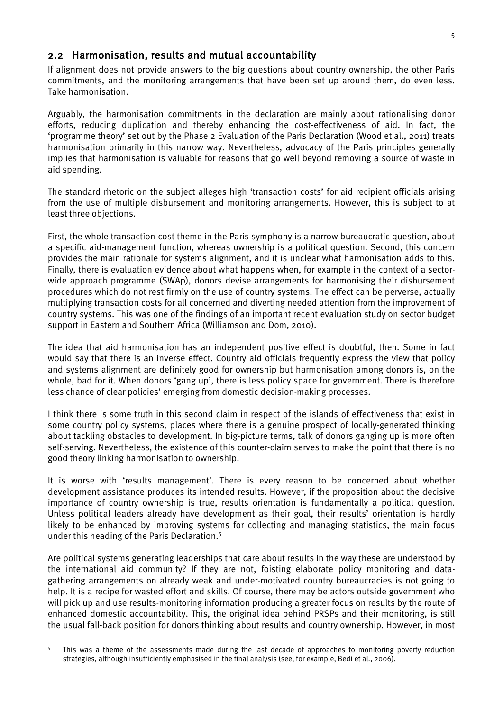#### <span id="page-9-0"></span>2.2 Harmonisation, results and mutual accountability

If alignment does not provide answers to the big questions about country ownership, the other Paris commitments, and the monitoring arrangements that have been set up around them, do even less. Take harmonisation.

Arguably, the harmonisation commitments in the declaration are mainly about rationalising donor efforts, reducing duplication and thereby enhancing the cost-effectiveness of aid. In fact, the 'programme theory' set out by the Phase 2 Evaluation of the Paris Declaration (Wood et al., 2011) treats harmonisation primarily in this narrow way. Nevertheless, advocacy of the Paris principles generally implies that harmonisation is valuable for reasons that go well beyond removing a source of waste in aid spending.

The standard rhetoric on the subject alleges high 'transaction costs' for aid recipient officials arising from the use of multiple disbursement and monitoring arrangements. However, this is subject to at least three objections.

First, the whole transaction-cost theme in the Paris symphony is a narrow bureaucratic question, about a specific aid-management function, whereas ownership is a political question. Second, this concern provides the main rationale for systems alignment, and it is unclear what harmonisation adds to this. Finally, there is evaluation evidence about what happens when, for example in the context of a sectorwide approach programme (SWAp), donors devise arrangements for harmonising their disbursement procedures which do not rest firmly on the use of country systems. The effect can be perverse, actually multiplying transaction costs for all concerned and diverting needed attention from the improvement of country systems. This was one of the findings of an important recent evaluation study on sector budget support in Eastern and Southern Africa (Williamson and Dom, 2010).

The idea that aid harmonisation has an independent positive effect is doubtful, then. Some in fact would say that there is an inverse effect. Country aid officials frequently express the view that policy and systems alignment are definitely good for ownership but harmonisation among donors is, on the whole, bad for it. When donors 'gang up', there is less policy space for government. There is therefore less chance of clear policies' emerging from domestic decision-making processes.

I think there is some truth in this second claim in respect of the islands of effectiveness that exist in some country policy systems, places where there is a genuine prospect of locally-generated thinking about tackling obstacles to development. In big-picture terms, talk of donors ganging up is more often self-serving. Nevertheless, the existence of this counter-claim serves to make the point that there is no good theory linking harmonisation to ownership.

It is worse with 'results management'. There is every reason to be concerned about whether development assistance produces its intended results. However, if the proposition about the decisive importance of country ownership is true, results orientation is fundamentally a political question. Unless political leaders already have development as their goal, their results' orientation is hardly likely to be enhanced by improving systems for collecting and managing statistics, the main focus under this heading of the Paris Declaration.<sup>[5](#page-9-1)</sup>

Are political systems generating leaderships that care about results in the way these are understood by the international aid community? If they are not, foisting elaborate policy monitoring and datagathering arrangements on already weak and under-motivated country bureaucracies is not going to help. It is a recipe for wasted effort and skills. Of course, there may be actors outside government who will pick up and use results-monitoring information producing a greater focus on results by the route of enhanced domestic accountability. This, the original idea behind PRSPs and their monitoring, is still the usual fall-back position for donors thinking about results and country ownership. However, in most

<span id="page-9-1"></span><sup>&</sup>lt;sup>5</sup> This was a theme of the assessments made during the last decade of approaches to monitoring poverty reduction strategies, although insufficiently emphasised in the final analysis (see, for example, Bedi et al., 2006).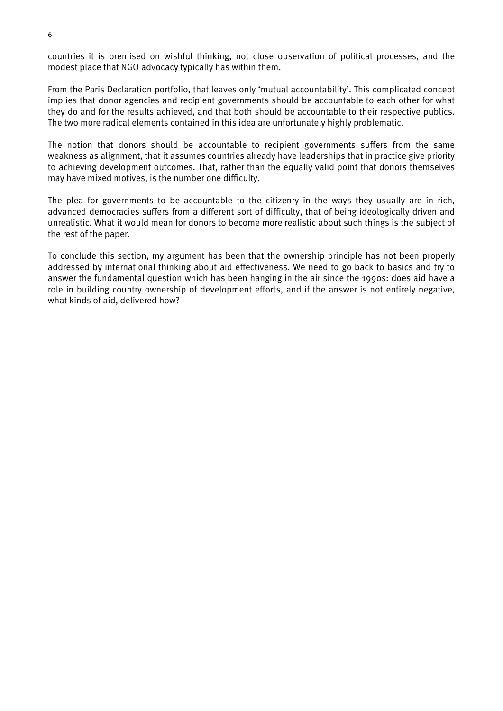countries it is premised on wishful thinking, not close observation of political processes, and the modest place that NGO advocacy typically has within them.

From the Paris Declaration portfolio, that leaves only 'mutual accountability'. This complicated concept implies that donor agencies and recipient governments should be accountable to each other for what they do and for the results achieved, and that both should be accountable to their respective publics. The two more radical elements contained in this idea are unfortunately highly problematic.

The notion that donors should be accountable to recipient governments suffers from the same weakness as alignment, that it assumes countries already have leaderships that in practice give priority to achieving development outcomes. That, rather than the equally valid point that donors themselves may have mixed motives, is the number one difficulty.

The plea for governments to be accountable to the citizenry in the ways they usually are in rich, advanced democracies suffers from a different sort of difficulty, that of being ideologically driven and unrealistic. What it would mean for donors to become more realistic about such things is the subject of the rest of the paper.

To conclude this section, my argument has been that the ownership principle has not been properly addressed by international thinking about aid effectiveness. We need to go back to basics and try to answer the fundamental question which has been hanging in the air since the 1990s: does aid have a role in building country ownership of development efforts, and if the answer is not entirely negative, what kinds of aid, delivered how?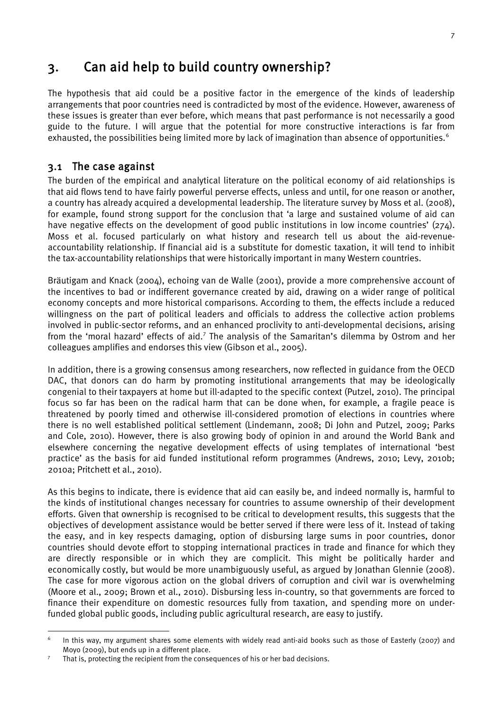## <span id="page-11-0"></span>3. Can aid help to build country ownership?

The hypothesis that aid could be a positive factor in the emergence of the kinds of leadership arrangements that poor countries need is contradicted by most of the evidence. However, awareness of these issues is greater than ever before, which means that past performance is not necessarily a good guide to the future. I will argue that the potential for more constructive interactions is far from exhausted, the possibilities being limited more by lack of imagination than absence of opportunities.<sup>[6](#page-11-2)</sup>

#### <span id="page-11-1"></span>3.1 The case against

The burden of the empirical and analytical literature on the political economy of aid relationships is that aid flows tend to have fairly powerful perverse effects, unless and until, for one reason or another, a country has already acquired a developmental leadership. The literature survey by Moss et al. (2008), for example, found strong support for the conclusion that 'a large and sustained volume of aid can have negative effects on the development of good public institutions in low income countries' (274). Moss et al. focused particularly on what history and research tell us about the aid-revenueaccountability relationship. If financial aid is a substitute for domestic taxation, it will tend to inhibit the tax-accountability relationships that were historically important in many Western countries.

Bräutigam and Knack (2004), echoing van de Walle (2001), provide a more comprehensive account of the incentives to bad or indifferent governance created by aid, drawing on a wider range of political economy concepts and more historical comparisons. According to them, the effects include a reduced willingness on the part of political leaders and officials to address the collective action problems involved in public-sector reforms, and an enhanced proclivity to anti-developmental decisions, arising from the 'moral hazard' effects of aid.[7](#page-11-3) The analysis of the Samaritan's dilemma by Ostrom and her colleagues amplifies and endorses this view (Gibson et al., 2005).

In addition, there is a growing consensus among researchers, now reflected in guidance from the OECD DAC, that donors can do harm by promoting institutional arrangements that may be ideologically congenial to their taxpayers at home but ill-adapted to the specific context (Putzel, 2010). The principal focus so far has been on the radical harm that can be done when, for example, a fragile peace is threatened by poorly timed and otherwise ill-considered promotion of elections in countries where there is no well established political settlement (Lindemann, 2008; Di John and Putzel, 2009; Parks and Cole, 2010). However, there is also growing body of opinion in and around the World Bank and elsewhere concerning the negative development effects of using templates of international 'best practice' as the basis for aid funded institutional reform programmes (Andrews, 2010; Levy, 2010b; 2010a; Pritchett et al., 2010).

As this begins to indicate, there is evidence that aid can easily be, and indeed normally is, harmful to the kinds of institutional changes necessary for countries to assume ownership of their development efforts. Given that ownership is recognised to be critical to development results, this suggests that the objectives of development assistance would be better served if there were less of it. Instead of taking the easy, and in key respects damaging, option of disbursing large sums in poor countries, donor countries should devote effort to stopping international practices in trade and finance for which they are directly responsible or in which they are complicit. This might be politically harder and economically costly, but would be more unambiguously useful, as argued by Jonathan Glennie (2008). The case for more vigorous action on the global drivers of corruption and civil war is overwhelming (Moore et al., 2009; Brown et al., 2010). Disbursing less in-country, so that governments are forced to finance their expenditure on domestic resources fully from taxation, and spending more on underfunded global public goods, including public agricultural research, are easy to justify.

<span id="page-11-2"></span><sup>&</sup>lt;sup>6</sup> In this way, my argument shares some elements with widely read anti-aid books such as those of Easterly (2007) and Moyo (2009), but ends up in a different place.

<span id="page-11-3"></span>That is, protecting the recipient from the consequences of his or her bad decisions.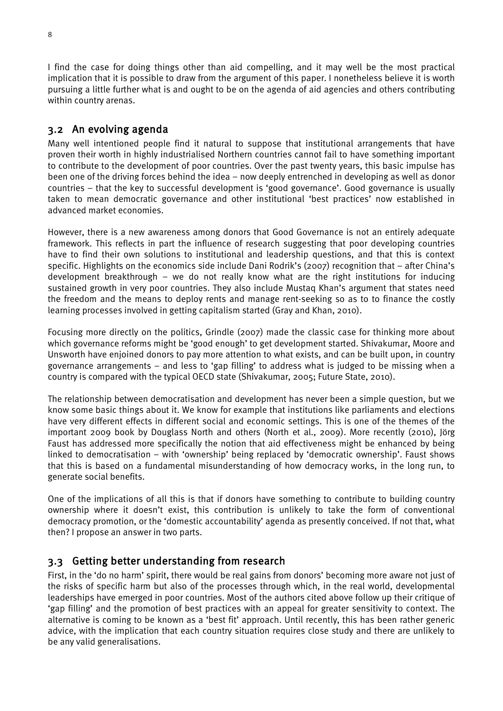I find the case for doing things other than aid compelling, and it may well be the most practical implication that it is possible to draw from the argument of this paper. I nonetheless believe it is worth pursuing a little further what is and ought to be on the agenda of aid agencies and others contributing within country arenas.

#### <span id="page-12-0"></span>3.2 An evolving agenda

Many well intentioned people find it natural to suppose that institutional arrangements that have proven their worth in highly industrialised Northern countries cannot fail to have something important to contribute to the development of poor countries. Over the past twenty years, this basic impulse has been one of the driving forces behind the idea – now deeply entrenched in developing as well as donor countries – that the key to successful development is 'good governance'. Good governance is usually taken to mean democratic governance and other institutional 'best practices' now established in advanced market economies.

However, there is a new awareness among donors that Good Governance is not an entirely adequate framework. This reflects in part the influence of research suggesting that poor developing countries have to find their own solutions to institutional and leadership questions, and that this is context specific. Highlights on the economics side include Dani Rodrik's (2007) recognition that – after China's development breakthrough – we do not really know what are the right institutions for inducing sustained growth in very poor countries. They also include Mustaq Khan's argument that states need the freedom and the means to deploy rents and manage rent-seeking so as to to finance the costly learning processes involved in getting capitalism started (Gray and Khan, 2010).

Focusing more directly on the politics, Grindle (2007) made the classic case for thinking more about which governance reforms might be 'good enough' to get development started. Shivakumar, Moore and Unsworth have enjoined donors to pay more attention to what exists, and can be built upon, in country governance arrangements – and less to 'gap filling' to address what is judged to be missing when a country is compared with the typical OECD state (Shivakumar, 2005; Future State, 2010).

The relationship between democratisation and development has never been a simple question, but we know some basic things about it. We know for example that institutions like parliaments and elections have very different effects in different social and economic settings. This is one of the themes of the important 2009 book by Douglass North and others (North et al., 2009). More recently (2010), Jörg Faust has addressed more specifically the notion that aid effectiveness might be enhanced by being linked to democratisation – with 'ownership' being replaced by 'democratic ownership'. Faust shows that this is based on a fundamental misunderstanding of how democracy works, in the long run, to generate social benefits.

One of the implications of all this is that if donors have something to contribute to building country ownership where it doesn't exist, this contribution is unlikely to take the form of conventional democracy promotion, or the 'domestic accountability' agenda as presently conceived. If not that, what then? I propose an answer in two parts.

#### <span id="page-12-1"></span>3.3 Getting better understanding from research

First, in the 'do no harm' spirit, there would be real gains from donors' becoming more aware not just of the risks of specific harm but also of the processes through which, in the real world, developmental leaderships have emerged in poor countries. Most of the authors cited above follow up their critique of 'gap filling' and the promotion of best practices with an appeal for greater sensitivity to context. The alternative is coming to be known as a 'best fit' approach. Until recently, this has been rather generic advice, with the implication that each country situation requires close study and there are unlikely to be any valid generalisations.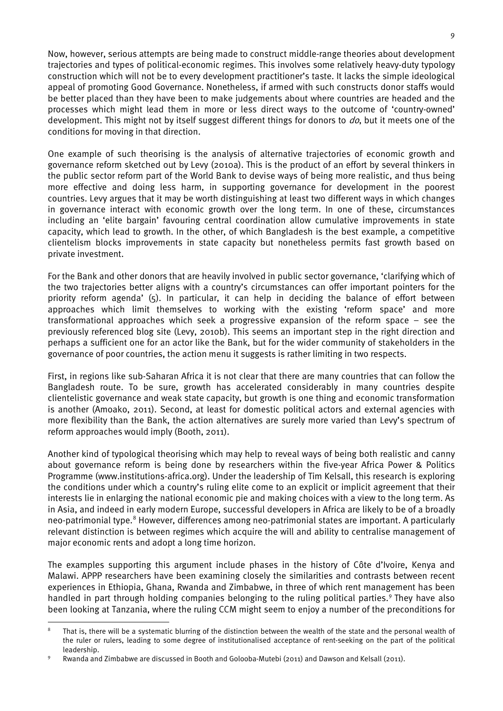Now, however, serious attempts are being made to construct middle-range theories about development trajectories and types of political-economic regimes. This involves some relatively heavy-duty typology construction which will not be to every development practitioner's taste. It lacks the simple ideological appeal of promoting Good Governance. Nonetheless, if armed with such constructs donor staffs would be better placed than they have been to make judgements about where countries are headed and the processes which might lead them in more or less direct ways to the outcome of 'country-owned' development. This might not by itself suggest different things for donors to do, but it meets one of the conditions for moving in that direction.

One example of such theorising is the analysis of alternative trajectories of economic growth and governance reform sketched out by Levy (2010a). This is the product of an effort by several thinkers in the public sector reform part of the World Bank to devise ways of being more realistic, and thus being more effective and doing less harm, in supporting governance for development in the poorest countries. Levy argues that it may be worth distinguishing at least two different ways in which changes in governance interact with economic growth over the long term. In one of these, circumstances including an 'elite bargain' favouring central coordination allow cumulative improvements in state capacity, which lead to growth. In the other, of which Bangladesh is the best example, a competitive clientelism blocks improvements in state capacity but nonetheless permits fast growth based on private investment.

For the Bank and other donors that are heavily involved in public sector governance, 'clarifying which of the two trajectories better aligns with a country's circumstances can offer important pointers for the priority reform agenda' (5). In particular, it can help in deciding the balance of effort between approaches which limit themselves to working with the existing 'reform space' and more transformational approaches which seek a progressive expansion of the reform space – see the previously referenced blog site (Levy, 2010b). This seems an important step in the right direction and perhaps a sufficient one for an actor like the Bank, but for the wider community of stakeholders in the governance of poor countries, the action menu it suggests is rather limiting in two respects.

First, in regions like sub-Saharan Africa it is not clear that there are many countries that can follow the Bangladesh route. To be sure, growth has accelerated considerably in many countries despite clientelistic governance and weak state capacity, but growth is one thing and economic transformation is another (Amoako, 2011). Second, at least for domestic political actors and external agencies with more flexibility than the Bank, the action alternatives are surely more varied than Levy's spectrum of reform approaches would imply (Booth, 2011).

Another kind of typological theorising which may help to reveal ways of being both realistic and canny about governance reform is being done by researchers within the five-year Africa Power & Politics Programme [\(www.institutions-africa.org\)](http://www.institutions-africa.org/). Under the leadership of Tim Kelsall, this research is exploring the conditions under which a country's ruling elite come to an explicit or implicit agreement that their interests lie in enlarging the national economic pie and making choices with a view to the long term. As in Asia, and indeed in early modern Europe, successful developers in Africa are likely to be of a broadly neo-patrimonial type.<sup>[8](#page-13-0)</sup> However, differences among neo-patrimonial states are important. A particularly relevant distinction is between regimes which acquire the will and ability to centralise management of major economic rents and adopt a long time horizon.

The examples supporting this argument include phases in the history of Côte d'Ivoire, Kenya and Malawi. APPP researchers have been examining closely the similarities and contrasts between recent experiences in Ethiopia, Ghana, Rwanda and Zimbabwe, in three of which rent management has been handled in part through holding companies belonging to the ruling political parties.<sup>9</sup> They have also been looking at Tanzania, where the ruling CCM might seem to enjoy a number of the preconditions for

<span id="page-13-0"></span><sup>&</sup>lt;sup>8</sup> That is, there will be a systematic blurring of the distinction between the wealth of the state and the personal wealth of the ruler or rulers, leading to some degree of institutionalised acceptance of rent-seeking on the part of the political leadership.

<span id="page-13-1"></span><sup>9</sup> Rwanda and Zimbabwe are discussed in Booth and Golooba-Mutebi (2011) and Dawson and Kelsall (2011).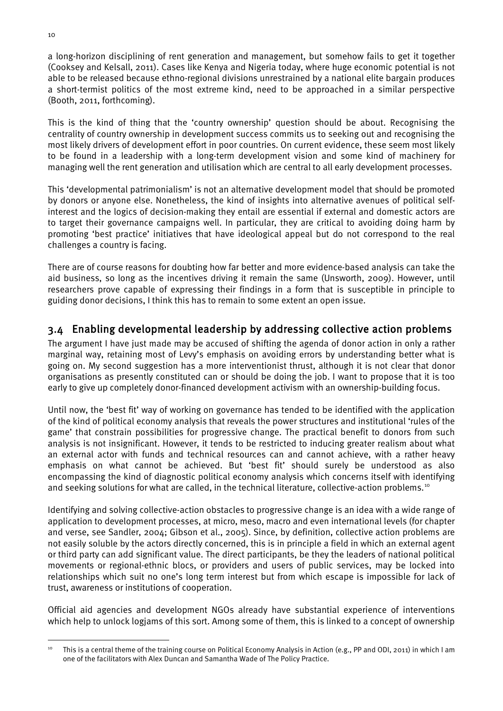a long-horizon disciplining of rent generation and management, but somehow fails to get it together (Cooksey and Kelsall, 2011). Cases like Kenya and Nigeria today, where huge economic potential is not able to be released because ethno-regional divisions unrestrained by a national elite bargain produces a short-termist politics of the most extreme kind, need to be approached in a similar perspective (Booth, 2011, forthcoming).

This is the kind of thing that the 'country ownership' question should be about. Recognising the centrality of country ownership in development success commits us to seeking out and recognising the most likely drivers of development effort in poor countries. On current evidence, these seem most likely to be found in a leadership with a long-term development vision and some kind of machinery for managing well the rent generation and utilisation which are central to all early development processes.

This 'developmental patrimonialism' is not an alternative development model that should be promoted by donors or anyone else. Nonetheless, the kind of insights into alternative avenues of political selfinterest and the logics of decision-making they entail are essential if external and domestic actors are to target their governance campaigns well. In particular, they are critical to avoiding doing harm by promoting 'best practice' initiatives that have ideological appeal but do not correspond to the real challenges a country is facing.

There are of course reasons for doubting how far better and more evidence-based analysis can take the aid business, so long as the incentives driving it remain the same (Unsworth, 2009). However, until researchers prove capable of expressing their findings in a form that is susceptible in principle to guiding donor decisions, I think this has to remain to some extent an open issue.

#### <span id="page-14-0"></span>3.4 Enabling developmental leadership by addressing collective action problems

The argument I have just made may be accused of shifting the agenda of donor action in only a rather marginal way, retaining most of Levy's emphasis on avoiding errors by understanding better what is going on. My second suggestion has a more interventionist thrust, although it is not clear that donor organisations as presently constituted can or should be doing the job. I want to propose that it is too early to give up completely donor-financed development activism with an ownership-building focus.

Until now, the 'best fit' way of working on governance has tended to be identified with the application of the kind of political economy analysis that reveals the power structures and institutional 'rules of the game' that constrain possibilities for progressive change. The practical benefit to donors from such analysis is not insignificant. However, it tends to be restricted to inducing greater realism about what an external actor with funds and technical resources can and cannot achieve, with a rather heavy emphasis on what cannot be achieved. But 'best fit' should surely be understood as also encompassing the kind of diagnostic political economy analysis which concerns itself with identifying and seeking solutions for what are called, in the technical literature, collective-action problems.<sup>[10](#page-14-1)</sup>

Identifying and solving collective-action obstacles to progressive change is an idea with a wide range of application to development processes, at micro, meso, macro and even international levels (for chapter and verse, see Sandler, 2004; Gibson et al., 2005). Since, by definition, collective action problems are not easily soluble by the actors directly concerned, this is in principle a field in which an external agent or third party can add significant value. The direct participants, be they the leaders of national political movements or regional-ethnic blocs, or providers and users of public services, may be locked into relationships which suit no one's long term interest but from which escape is impossible for lack of trust, awareness or institutions of cooperation.

Official aid agencies and development NGOs already have substantial experience of interventions which help to unlock logjams of this sort. Among some of them, this is linked to a concept of ownership

<span id="page-14-1"></span><sup>&</sup>lt;sup>10</sup> This is a central theme of the training course on Political Economy Analysis in Action (e.g., PP and ODI, 2011) in which I am one of the facilitators with Alex Duncan and Samantha Wade of The Policy Practice.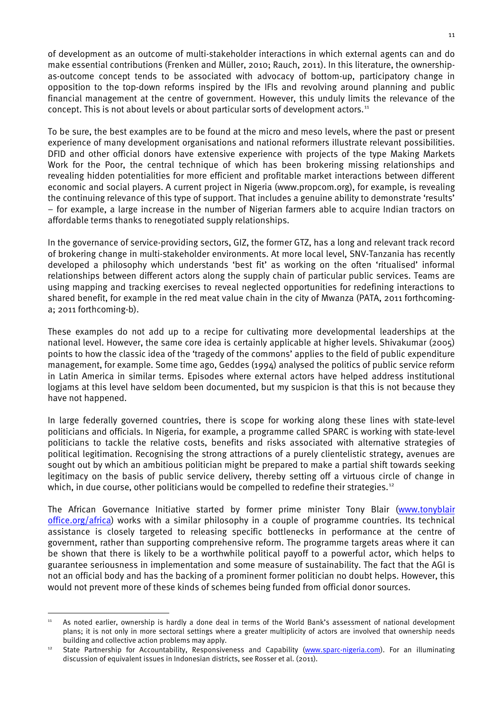of development as an outcome of multi-stakeholder interactions in which external agents can and do make essential contributions (Frenken and Müller, 2010; Rauch, 2011). In this literature, the ownershipas-outcome concept tends to be associated with advocacy of bottom-up, participatory change in opposition to the top-down reforms inspired by the IFIs and revolving around planning and public financial management at the centre of government. However, this unduly limits the relevance of the concept. This is not about levels or about particular sorts of development actors.<sup>[11](#page-15-0)</sup>

To be sure, the best examples are to be found at the micro and meso levels, where the past or present experience of many development organisations and national reformers illustrate relevant possibilities. DFID and other official donors have extensive experience with projects of the type Making Markets Work for the Poor, the central technique of which has been brokering missing relationships and revealing hidden potentialities for more efficient and profitable market interactions between different economic and social players. A current project in Nigeria [\(www.propcom.org\)](http://www.propcom.org/), for example, is revealing the continuing relevance of this type of support. That includes a genuine ability to demonstrate 'results' – for example, a large increase in the number of Nigerian farmers able to acquire Indian tractors on affordable terms thanks to renegotiated supply relationships.

In the governance of service-providing sectors, GIZ, the former GTZ, has a long and relevant track record of brokering change in multi-stakeholder environments. At more local level, SNV-Tanzania has recently developed a philosophy which understands 'best fit' as working on the often 'ritualised' informal relationships between different actors along the supply chain of particular public services. Teams are using mapping and tracking exercises to reveal neglected opportunities for redefining interactions to shared benefit, for example in the red meat value chain in the city of Mwanza (PATA, 2011 forthcominga; 2011 forthcoming-b).

These examples do not add up to a recipe for cultivating more developmental leaderships at the national level. However, the same core idea is certainly applicable at higher levels. Shivakumar (2005) points to how the classic idea of the 'tragedy of the commons' applies to the field of public expenditure management, for example. Some time ago, Geddes (1994) analysed the politics of public service reform in Latin America in similar terms. Episodes where external actors have helped address institutional logjams at this level have seldom been documented, but my suspicion is that this is not because they have not happened.

In large federally governed countries, there is scope for working along these lines with state-level politicians and officials. In Nigeria, for example, a programme called SPARC is working with state-level politicians to tackle the relative costs, benefits and risks associated with alternative strategies of political legitimation. Recognising the strong attractions of a purely clientelistic strategy, avenues are sought out by which an ambitious politician might be prepared to make a partial shift towards seeking legitimacy on the basis of public service delivery, thereby setting off a virtuous circle of change in which, in due course, other politicians would be compelled to redefine their strategies.<sup>[12](#page-15-1)</sup>

The African Governance Initiative started by former prime minister Tony Blair [\(www.tonyblair](http://www.tonyblairoffice.org/africa) [office.org/africa\)](http://www.tonyblairoffice.org/africa) works with a similar philosophy in a couple of programme countries. Its technical assistance is closely targeted to releasing specific bottlenecks in performance at the centre of government, rather than supporting comprehensive reform. The programme targets areas where it can be shown that there is likely to be a worthwhile political payoff to a powerful actor, which helps to guarantee seriousness in implementation and some measure of sustainability. The fact that the AGI is not an official body and has the backing of a prominent former politician no doubt helps. However, this would not prevent more of these kinds of schemes being funded from official donor sources.

<span id="page-15-0"></span>As noted earlier, ownership is hardly a done deal in terms of the World Bank's assessment of national development plans; it is not only in more sectoral settings where a greater multiplicity of actors are involved that ownership needs building and collective action problems may apply.

<span id="page-15-1"></span><sup>&</sup>lt;sup>12</sup> State Partnership for Accountability, Responsiveness and Capability [\(www.sparc-nigeria.com\)](http://www.sparc-nigeria.com/). For an illuminating discussion of equivalent issues in Indonesian districts, see Rosser et al. (2011).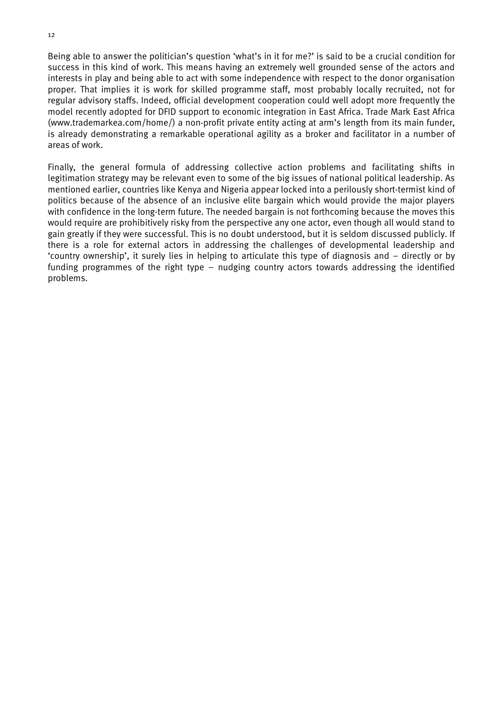Being able to answer the politician's question 'what's in it for me?' is said to be a crucial condition for success in this kind of work. This means having an extremely well grounded sense of the actors and interests in play and being able to act with some independence with respect to the donor organisation proper. That implies it is work for skilled programme staff, most probably locally recruited, not for regular advisory staffs. Indeed, official development cooperation could well adopt more frequently the model recently adopted for DFID support to economic integration in East Africa. Trade Mark East Africa [\(www.trademarkea.com/home/\)](http://www.trademarkea.com/home/) a non-profit private entity acting at arm's length from its main funder, is already demonstrating a remarkable operational agility as a broker and facilitator in a number of areas of work.

Finally, the general formula of addressing collective action problems and facilitating shifts in legitimation strategy may be relevant even to some of the big issues of national political leadership. As mentioned earlier, countries like Kenya and Nigeria appear locked into a perilously short-termist kind of politics because of the absence of an inclusive elite bargain which would provide the major players with confidence in the long-term future. The needed bargain is not forthcoming because the moves this would require are prohibitively risky from the perspective any one actor, even though all would stand to gain greatly if they were successful. This is no doubt understood, but it is seldom discussed publicly. If there is a role for external actors in addressing the challenges of developmental leadership and 'country ownership', it surely lies in helping to articulate this type of diagnosis and – directly or by funding programmes of the right type – nudging country actors towards addressing the identified problems.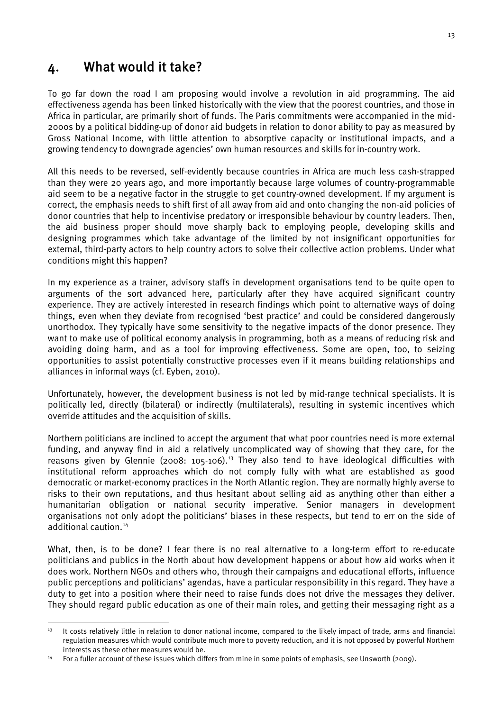## <span id="page-17-0"></span>4. What would it take?

To go far down the road I am proposing would involve a revolution in aid programming. The aid effectiveness agenda has been linked historically with the view that the poorest countries, and those in Africa in particular, are primarily short of funds. The Paris commitments were accompanied in the mid-2000s by a political bidding-up of donor aid budgets in relation to donor ability to pay as measured by Gross National Income, with little attention to absorptive capacity or institutional impacts, and a growing tendency to downgrade agencies' own human resources and skills for in-country work.

All this needs to be reversed, self-evidently because countries in Africa are much less cash-strapped than they were 20 years ago, and more importantly because large volumes of country-programmable aid seem to be a negative factor in the struggle to get country-owned development. If my argument is correct, the emphasis needs to shift first of all away from aid and onto changing the non-aid policies of donor countries that help to incentivise predatory or irresponsible behaviour by country leaders. Then, the aid business proper should move sharply back to employing people, developing skills and designing programmes which take advantage of the limited by not insignificant opportunities for external, third-party actors to help country actors to solve their collective action problems. Under what conditions might this happen?

In my experience as a trainer, advisory staffs in development organisations tend to be quite open to arguments of the sort advanced here, particularly after they have acquired significant country experience. They are actively interested in research findings which point to alternative ways of doing things, even when they deviate from recognised 'best practice' and could be considered dangerously unorthodox. They typically have some sensitivity to the negative impacts of the donor presence. They want to make use of political economy analysis in programming, both as a means of reducing risk and avoiding doing harm, and as a tool for improving effectiveness. Some are open, too, to seizing opportunities to assist potentially constructive processes even if it means building relationships and alliances in informal ways (cf. Eyben, 2010).

Unfortunately, however, the development business is not led by mid-range technical specialists. It is politically led, directly (bilateral) or indirectly (multilaterals), resulting in systemic incentives which override attitudes and the acquisition of skills.

Northern politicians are inclined to accept the argument that what poor countries need is more external funding, and anyway find in aid a relatively uncomplicated way of showing that they care, for the reasons given by Glennie (2008: 105-106).<sup>[13](#page-17-1)</sup> They also tend to have ideological difficulties with institutional reform approaches which do not comply fully with what are established as good democratic or market-economy practices in the North Atlantic region. They are normally highly averse to risks to their own reputations, and thus hesitant about selling aid as anything other than either a humanitarian obligation or national security imperative. Senior managers in development organisations not only adopt the politicians' biases in these respects, but tend to err on the side of additional caution.[14](#page-17-2)

What, then, is to be done? I fear there is no real alternative to a long-term effort to re-educate politicians and publics in the North about how development happens or about how aid works when it does work. Northern NGOs and others who, through their campaigns and educational efforts, influence public perceptions and politicians' agendas, have a particular responsibility in this regard. They have a duty to get into a position where their need to raise funds does not drive the messages they deliver. They should regard public education as one of their main roles, and getting their messaging right as a

<span id="page-17-1"></span><sup>&</sup>lt;sup>13</sup> It costs relatively little in relation to donor national income, compared to the likely impact of trade, arms and financial regulation measures which would contribute much more to poverty reduction, and it is not opposed by powerful Northern interests as these other measures would be.

<span id="page-17-2"></span><sup>&</sup>lt;sup>14</sup> For a fuller account of these issues which differs from mine in some points of emphasis, see Unsworth (2009).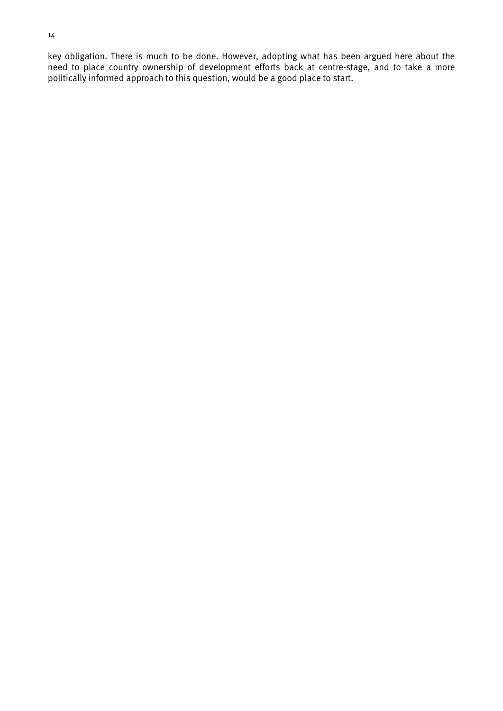key obligation. There is much to be done. However, adopting what has been argued here about the need to place country ownership of development efforts back at centre-stage, and to take a more politically informed approach to this question, would be a good place to start.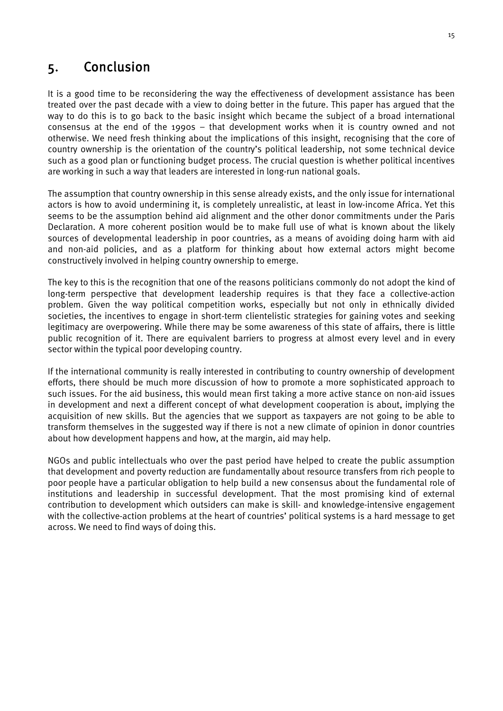## <span id="page-19-0"></span>5. Conclusion

It is a good time to be reconsidering the way the effectiveness of development assistance has been treated over the past decade with a view to doing better in the future. This paper has argued that the way to do this is to go back to the basic insight which became the subject of a broad international consensus at the end of the 1990s – that development works when it is country owned and not otherwise. We need fresh thinking about the implications of this insight, recognising that the core of country ownership is the orientation of the country's political leadership, not some technical device such as a good plan or functioning budget process. The crucial question is whether political incentives are working in such a way that leaders are interested in long-run national goals.

The assumption that country ownership in this sense already exists, and the only issue for international actors is how to avoid undermining it, is completely unrealistic, at least in low-income Africa. Yet this seems to be the assumption behind aid alignment and the other donor commitments under the Paris Declaration. A more coherent position would be to make full use of what is known about the likely sources of developmental leadership in poor countries, as a means of avoiding doing harm with aid and non-aid policies, and as a platform for thinking about how external actors might become constructively involved in helping country ownership to emerge.

The key to this is the recognition that one of the reasons politicians commonly do not adopt the kind of long-term perspective that development leadership requires is that they face a collective-action problem. Given the way political competition works, especially but not only in ethnically divided societies, the incentives to engage in short-term clientelistic strategies for gaining votes and seeking legitimacy are overpowering. While there may be some awareness of this state of affairs, there is little public recognition of it. There are equivalent barriers to progress at almost every level and in every sector within the typical poor developing country.

If the international community is really interested in contributing to country ownership of development efforts, there should be much more discussion of how to promote a more sophisticated approach to such issues. For the aid business, this would mean first taking a more active stance on non-aid issues in development and next a different concept of what development cooperation is about, implying the acquisition of new skills. But the agencies that we support as taxpayers are not going to be able to transform themselves in the suggested way if there is not a new climate of opinion in donor countries about how development happens and how, at the margin, aid may help.

NGOs and public intellectuals who over the past period have helped to create the public assumption that development and poverty reduction are fundamentally about resource transfers from rich people to poor people have a particular obligation to help build a new consensus about the fundamental role of institutions and leadership in successful development. That the most promising kind of external contribution to development which outsiders can make is skill- and knowledge-intensive engagement with the collective-action problems at the heart of countries' political systems is a hard message to get across. We need to find ways of doing this.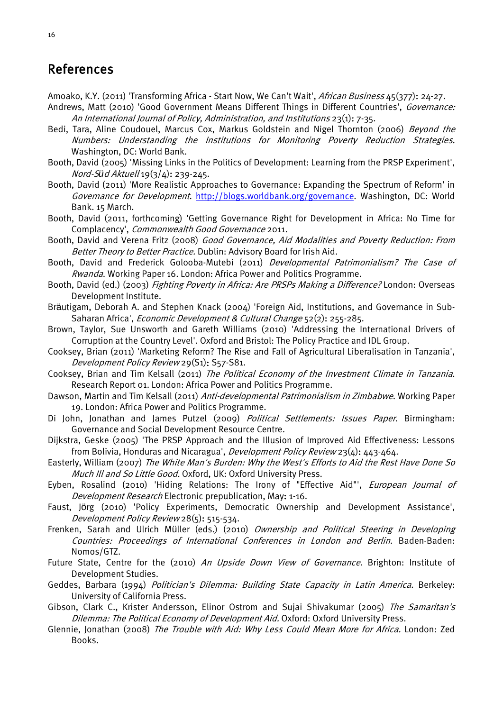#### <span id="page-20-0"></span>References

Amoako, K.Y. (2011) 'Transforming Africa - Start Now, We Can't Wait', African Business 45(377): 24-27.

- Andrews, Matt (2010) 'Good Government Means Different Things in Different Countries', Governance: An International Journal of Policy, Administration, and Institutions 23(1): 7-35.
- Bedi, Tara, Aline Coudouel, Marcus Cox, Markus Goldstein and Nigel Thornton (2006) Beyond the Numbers: Understanding the Institutions for Monitoring Poverty Reduction Strategies. Washington, DC: World Bank.
- Booth, David (2005) 'Missing Links in the Politics of Development: Learning from the PRSP Experiment', Nord-S*ü*d Aktuell 19(3/4): 239-245.
- Booth, David (2011) 'More Realistic Approaches to Governance: Expanding the Spectrum of Reform' in Governance for Development. [http://blogs.worldbank.org/governance.](http://blogs.worldbank.org/governance) Washington, DC: World Bank. 15 March.
- Booth, David (2011, forthcoming) 'Getting Governance Right for Development in Africa: No Time for Complacency', Commonwealth Good Governance 2011.
- Booth, David and Verena Fritz (2008) Good Governance, Aid Modalities and Poverty Reduction: From Better Theory to Better Practice. Dublin: Advisory Board for Irish Aid.
- Booth, David and Frederick Golooba-Mutebi (2011) Developmental Patrimonialism? The Case of Rwanda. Working Paper 16. London: Africa Power and Politics Programme.
- Booth, David (ed.) (2003) Fighting Poverty in Africa: Are PRSPs Making a Difference? London: Overseas Development Institute.
- Bräutigam, Deborah A. and Stephen Knack (2004) 'Foreign Aid, Institutions, and Governance in Sub-Saharan Africa', Economic Development & Cultural Change 52(2): 255-285.
- Brown, Taylor, Sue Unsworth and Gareth Williams (2010) 'Addressing the International Drivers of Corruption at the Country Level'. Oxford and Bristol: The Policy Practice and IDL Group.
- Cooksey, Brian (2011) 'Marketing Reform? The Rise and Fall of Agricultural Liberalisation in Tanzania', Development Policy Review 29(S1): S57-S81.
- Cooksey, Brian and Tim Kelsall (2011) The Political Economy of the Investment Climate in Tanzania. Research Report 01. London: Africa Power and Politics Programme.
- Dawson, Martin and Tim Kelsall (2011) Anti-developmental Patrimonialism in Zimbabwe. Working Paper 19. London: Africa Power and Politics Programme.
- Di John, Jonathan and James Putzel (2009) *Political Settlements: Issues Paper*. Birmingham: Governance and Social Development Resource Centre.
- Dijkstra, Geske (2005) 'The PRSP Approach and the Illusion of Improved Aid Effectiveness: Lessons from Bolivia, Honduras and Nicaragua', Development Policy Review 23(4): 443-464.
- Easterly, William (2007) The White Man's Burden: Why the West's Efforts to Aid the Rest Have Done So Much III and So Little Good. Oxford, UK: Oxford University Press.
- Eyben, Rosalind (2010) 'Hiding Relations: The Irony of "Effective Aid"', *European Journal of* Development Research Electronic prepublication, May: 1-16.
- Faust, Jörg (2010) 'Policy Experiments, Democratic Ownership and Development Assistance', Development Policy Review 28(5): 515-534.
- Frenken, Sarah and Ulrich Müller (eds.) (2010) Ownership and Political Steering in Developing Countries: Proceedings of International Conferences in London and Berlin. Baden-Baden: Nomos/GTZ.
- Future State, Centre for the (2010) An Upside Down View of Governance. Brighton: Institute of Development Studies.
- Geddes, Barbara (1994) Politician's Dilemma: Building State Capacity in Latin America. Berkeley: University of California Press.
- Gibson, Clark C., Krister Andersson, Elinor Ostrom and Sujai Shivakumar (2005) The Samaritan's Dilemma: The Political Economy of Development Aid. Oxford: Oxford University Press.
- Glennie, Jonathan (2008) The Trouble with Aid: Why Less Could Mean More for Africa. London: Zed Books.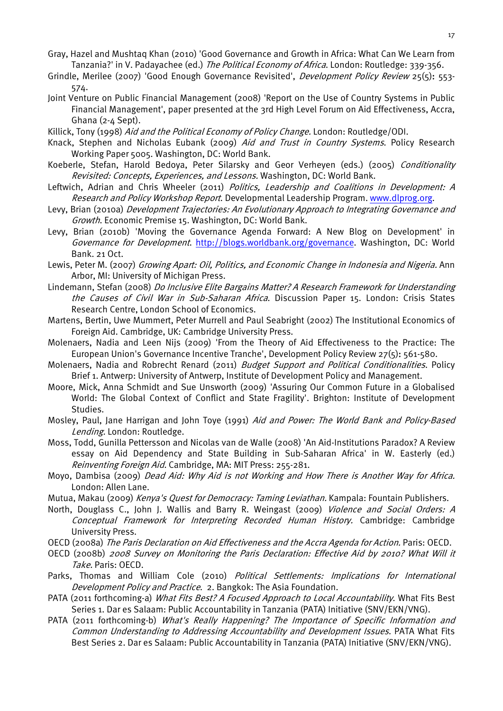- Gray, Hazel and Mushtaq Khan (2010) 'Good Governance and Growth in Africa: What Can We Learn from Tanzania?' in V. Padayachee (ed.) The Political Economy of Africa. London: Routledge: 339-356.
- Grindle, Merilee (2007) 'Good Enough Governance Revisited', Development Policy Review 25(5): 553-574.
- Joint Venture on Public Financial Management (2008) 'Report on the Use of Country Systems in Public Financial Management', paper presented at the 3rd High Level Forum on Aid Effectiveness, Accra, Ghana (2-4 Sept).
- Killick, Tony (1998) Aid and the Political Economy of Policy Change. London: Routledge/ODI.
- Knack, Stephen and Nicholas Eubank (2009) Aid and Trust in Country Systems. Policy Research Working Paper 5005. Washington, DC: World Bank.
- Koeberle, Stefan, Harold Bedoya, Peter Silarsky and Geor Verheyen (eds.) (2005) Conditionality Revisited: Concepts, Experiences, and Lessons. Washington, DC: World Bank.
- Leftwich, Adrian and Chris Wheeler (2011) *Politics, Leadership and Coalitions in Development: A* Research and Policy Workshop Report. Developmental Leadership Program. [www.dlprog.org.](http://www.dlprog.org/)
- Levy, Brian (2010a) Development Trajectories: An Evolutionary Approach to Integrating Governance and Growth. Economic Premise 15. Washington, DC: World Bank.
- Levy, Brian (2010b) 'Moving the Governance Agenda Forward: A New Blog on Development' in Governance for Development. [http://blogs.worldbank.org/governance.](http://blogs.worldbank.org/governance) Washington, DC: World Bank. 21 Oct.
- Lewis, Peter M. (2007) *Growing Apart: Oil, Politics, and Economic Change in Indonesia and Nigeria.* Ann Arbor, MI: University of Michigan Press.
- Lindemann, Stefan (2008) Do Inclusive Elite Bargains Matter? A Research Framework for Understanding the Causes of Civil War in Sub-Saharan Africa. Discussion Paper 15. London: Crisis States Research Centre, London School of Economics.
- Martens, Bertin, Uwe Mummert, Peter Murrell and Paul Seabright (2002) The Institutional Economics of Foreign Aid. Cambridge, UK: Cambridge University Press.
- Molenaers, Nadia and Leen Nijs (2009) 'From the Theory of Aid Effectiveness to the Practice: The European Union's Governance Incentive Tranche', Development Policy Review 27(5): 561-580.
- Molenaers, Nadia and Robrecht Renard (2011) Budget Support and Political Conditionalities. Policy Brief 1. Antwerp: University of Antwerp, Institute of Development Policy and Management.
- Moore, Mick, Anna Schmidt and Sue Unsworth (2009) 'Assuring Our Common Future in a Globalised World: The Global Context of Conflict and State Fragility'. Brighton: Institute of Development Studies.
- Mosley, Paul, Jane Harrigan and John Toye (1991) Aid and Power: The World Bank and Policy-Based Lending. London: Routledge.
- Moss, Todd, Gunilla Pettersson and Nicolas van de Walle (2008) 'An Aid-Institutions Paradox? A Review essay on Aid Dependency and State Building in Sub-Saharan Africa' in W. Easterly (ed.) Reinventing Foreign Aid. Cambridge, MA: MIT Press: 255-281.
- Moyo, Dambisa (2009) Dead Aid: Why Aid is not Working and How There is Another Way for Africa. London: Allen Lane.
- Mutua, Makau (2009) Kenya's Quest for Democracy: Taming Leviathan. Kampala: Fountain Publishers.
- North, Douglass C., John J. Wallis and Barry R. Weingast (2009) Violence and Social Orders: A Conceptual Framework for Interpreting Recorded Human History. Cambridge: Cambridge University Press.
- OECD (2008a) The Paris Declaration on Aid Effectiveness and the Accra Agenda for Action. Paris: OECD.
- OECD (2008b) 2008 Survey on Monitoring the Paris Declaration: Effective Aid by 2010? What Will it Take. Paris: OECD.
- Parks, Thomas and William Cole (2010) *Political Settlements: Implications for International* Development Policy and Practice. 2. Bangkok: The Asia Foundation.
- PATA (2011 forthcoming-a) What Fits Best? A Focused Approach to Local Accountability. What Fits Best Series 1. Dar es Salaam: Public Accountability in Tanzania (PATA) Initiative (SNV/EKN/VNG).
- PATA (2011 forthcoming-b) What's Really Happening? The Importance of Specific Information and Common Understanding to Addressing Accountability and Development Issues. PATA What Fits Best Series 2. Dar es Salaam: Public Accountability in Tanzania (PATA) Initiative (SNV/EKN/VNG).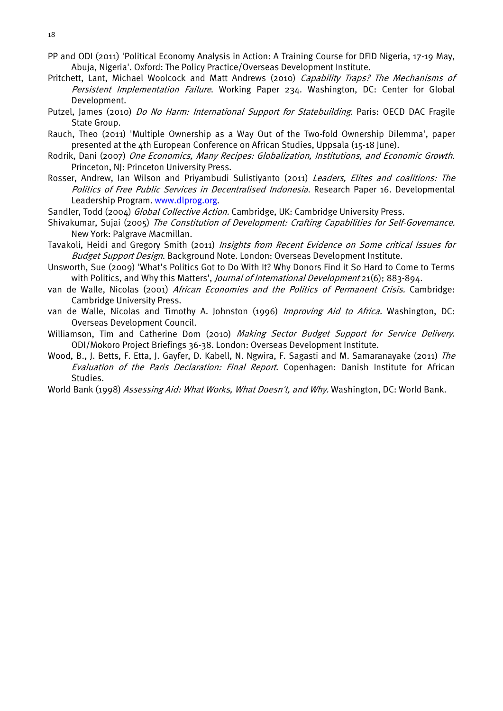- 18
- PP and ODI (2011) 'Political Economy Analysis in Action: A Training Course for DFID Nigeria, 17-19 May, Abuja, Nigeria'. Oxford: The Policy Practice/Overseas Development Institute.
- Pritchett, Lant, Michael Woolcock and Matt Andrews (2010) Capability Traps? The Mechanisms of Persistent Implementation Failure. Working Paper 234. Washington, DC: Center for Global Development.
- Putzel, James (2010) Do No Harm: International Support for Statebuilding. Paris: OECD DAC Fragile State Group.
- Rauch, Theo (2011) 'Multiple Ownership as a Way Out of the Two-fold Ownership Dilemma', paper presented at the 4th European Conference on African Studies, Uppsala (15-18 June).
- Rodrik, Dani (2007) One Economics, Many Recipes: Globalization, Institutions, and Economic Growth. Princeton, NJ: Princeton University Press.
- Rosser, Andrew, Ian Wilson and Priyambudi Sulistiyanto (2011) Leaders, Elites and coalitions: The Politics of Free Public Services in Decentralised Indonesia. Research Paper 16. Developmental Leadership Program. [www.dlprog.org.](http://www.dlprog.org/)
- Sandler, Todd (2004) Global Collective Action. Cambridge, UK: Cambridge University Press.
- Shivakumar, Sujai (2005) The Constitution of Development: Crafting Capabilities for Self-Governance. New York: Palgrave Macmillan.
- Tavakoli, Heidi and Gregory Smith (2011) Insights from Recent Evidence on Some critical Issues for Budget Support Design. Background Note. London: Overseas Development Institute.
- Unsworth, Sue (2009) 'What's Politics Got to Do With It? Why Donors Find it So Hard to Come to Terms with Politics, and Why this Matters', Journal of International Development 21(6): 883-894.
- van de Walle, Nicolas (2001) African Economies and the Politics of Permanent Crisis. Cambridge: Cambridge University Press.
- van de Walle, Nicolas and Timothy A. Johnston (1996) Improving Aid to Africa. Washington, DC: Overseas Development Council.
- Williamson, Tim and Catherine Dom (2010) Making Sector Budget Support for Service Delivery. ODI/Mokoro Project Briefings 36-38. London: Overseas Development Institute.
- Wood, B., J. Betts, F. Etta, J. Gayfer, D. Kabell, N. Ngwira, F. Sagasti and M. Samaranayake (2011) The Evaluation of the Paris Declaration: Final Report. Copenhagen: Danish Institute for African Studies.
- World Bank (1998) Assessing Aid: What Works, What Doesn't, and Why. Washington, DC: World Bank.